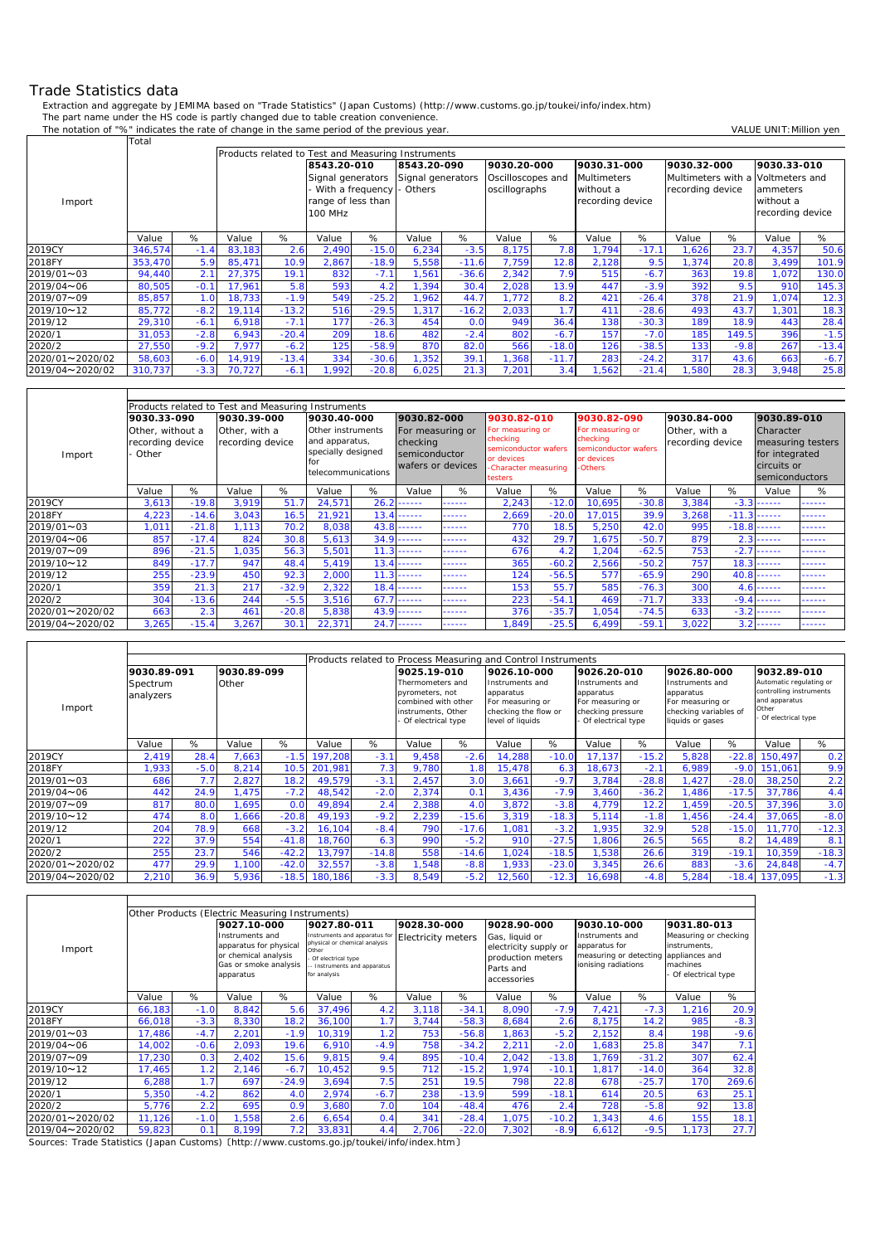## Trade Statistics data

 $\mathsf{r}$ 

Extraction and aggregate by JEMIMA based on "Trade Statistics" (Japan Customs) (http://www.customs.go.jp/toukei/info/index.htm) The part name under the HS code is partly changed due to table creation convenience.

The notation of "%" indicates the rate of change in the same period of the previous year. VALUE UNIT: Million yen

|                   | Total   |        |        |                                                                                                                                      |                    |                    |                   |         |                   |         |                    |         |                  |        |                                   |         |  |
|-------------------|---------|--------|--------|--------------------------------------------------------------------------------------------------------------------------------------|--------------------|--------------------|-------------------|---------|-------------------|---------|--------------------|---------|------------------|--------|-----------------------------------|---------|--|
|                   |         |        |        | <b>Products related to Test and Measuring Instruments</b><br>9030.20-000<br>9030.31-000<br>9030.32-000<br>8543.20-010<br>8543.20-090 |                    |                    |                   |         |                   |         |                    |         |                  |        |                                   |         |  |
|                   |         |        |        |                                                                                                                                      |                    |                    |                   |         |                   |         |                    |         |                  |        | 9030.33-010                       |         |  |
|                   |         |        |        |                                                                                                                                      | Signal generators  |                    | Signal generators |         | Oscilloscopes and |         | <b>Multimeters</b> |         |                  |        | Multimeters with a Voltmeters and |         |  |
|                   |         |        |        |                                                                                                                                      |                    | With a frequency - | Others            |         | oscillographs     |         | without a          |         | recording device |        | ammeters                          |         |  |
| Import            |         |        |        |                                                                                                                                      | range of less than |                    |                   |         |                   |         | recording device   |         |                  |        | without a                         |         |  |
|                   |         |        |        |                                                                                                                                      | 100 MHz            |                    |                   |         |                   |         |                    |         |                  |        | recording device                  |         |  |
|                   |         |        |        |                                                                                                                                      |                    |                    |                   |         |                   |         |                    |         |                  |        |                                   |         |  |
|                   | Value   | %      | Value  | %                                                                                                                                    | Value              | %                  | Value             | %       | Value             | %       | Value              | %       | Value            | %      | Value                             | %       |  |
| 2019CY            | 346,574 | $-1.4$ | 83,183 | 2.6                                                                                                                                  | 2,490              | $-15.0$            | 6,234             | $-3.5$  | 8.175             | 7.8     | 1.794              | $-17.1$ | ,626             | 23.7   | 4,357                             | 50.6    |  |
| 2018FY            | 353,470 | 5.9    | 85,471 | 10.9                                                                                                                                 | 2,867              | $-18.9$            | 5,558             | $-11.6$ | 7,759             | 12.8    | 2,128              | 9.5     | 1,374            | 20.8   | 3,499                             | 101.9   |  |
| $2019/01 \sim 03$ | 94,440  | 2.1    | 27,375 | 19.7                                                                                                                                 | 832                | $-7.1$             | ,561              | $-36.6$ | 2,342             | 7.9     | 515                | $-6.7$  | 363              | 19.8   | 1,072                             | 130.0   |  |
| 2019/04~06        | 80,505  | $-0.1$ | 17,961 | 5.8                                                                                                                                  | 593                | 4.2                | 1,394             | 30.4    | 2,028             | 13.9    | 447                | $-3.9$  | 392              | 9.5    | 910                               | 145.3   |  |
| 2019/07~09        | 85,857  | 1.0    | 18,733 | $-1.9$                                                                                                                               | 549                | $-25.2$            | 1.962             | 44.7    | 1.772             | 8.2     | 421                | $-26.4$ | 378              | 21.9   | 1,074                             | 12.3    |  |
| 2019/10~12        | 85,772  | $-8.2$ | 19,114 | $-13.2$                                                                                                                              | 516                | $-29.5$            | 1,317             | $-16.2$ | 2,033             | 1.7     | 411                | $-28.6$ | 493              | 43.7   | 1,301                             | 18.3    |  |
| 2019/12           | 29,310  | $-6.1$ | 6,918  | $-7.7$                                                                                                                               | 177                | $-26.3$            | 454               | 0.0     | 949               | 36.4    | 138                | $-30.3$ | 189              | 18.9   | 443                               | 28.4    |  |
| 2020/1            | 31,053  | $-2.8$ | 6,943  | $-20.4$                                                                                                                              | 209                | 18.6               | 482               | $-2.4$  | 802               | $-6.7$  | 157                | $-7.0$  | 185              | 149.5  | 396                               | $-1.5$  |  |
| 2020/2            | 27,550  | $-9.2$ | 7,977  | $-6.2$                                                                                                                               | 125                | $-58.9$            | 870               | 82.0    | 566               | $-18.0$ | 126                | $-38.5$ | $133$            | $-9.8$ | 267                               | $-13.4$ |  |
| 2020/01~2020/02   | 58,603  | $-6.0$ | 14,919 | $-13.4$                                                                                                                              | 334                | $-30.6$            | 1,352             | 39.7    | ,368              | $-11.7$ | 283                | $-24.2$ | 317              | 43.6   | 663                               | $-6.7$  |  |
| 2019/04~2020/02   | 310,737 | $-3.3$ | 70,727 | $-6.7$                                                                                                                               | .992               | $-20.8$            | 6,025             | 21.3    | 7,201             | 3.4     | .562               | $-21.4$ | ,580             | 28.3   | 3,948                             | 25.8    |  |

|                   | Products related to Test and Measuring Instruments |         |                  |         |                    |                                             |                  |                                    |                  |                                                                                           |                  |                      |                  |         |                   |        |
|-------------------|----------------------------------------------------|---------|------------------|---------|--------------------|---------------------------------------------|------------------|------------------------------------|------------------|-------------------------------------------------------------------------------------------|------------------|----------------------|------------------|---------|-------------------|--------|
|                   |                                                    |         |                  |         |                    |                                             |                  |                                    |                  |                                                                                           |                  |                      |                  |         |                   |        |
|                   | 9030.33-090                                        |         | 9030.39-000      |         | 9030.40-000        |                                             | 9030.82-000      |                                    | 9030.82-010      |                                                                                           | 9030.82-090      |                      | 9030.84-000      |         | 9030.89-010       |        |
|                   | Other, without a                                   |         | Other, with a    |         | Other instruments  |                                             | For measuring or |                                    | For measuring or |                                                                                           | For measuring or |                      | Other, with a    |         | Character         |        |
|                   | recording device                                   |         | recording device |         |                    | and apparatus,<br>specially designed<br>for |                  | checking                           | checking         |                                                                                           | checking         |                      | recording device |         | measuring testers |        |
| Import            | · Other                                            |         |                  |         |                    |                                             |                  | semiconductor<br>wafers or devices |                  | semiconductor wafers<br>or devices<br>or devices<br><b>Others</b><br>-Character measuring |                  | semiconductor wafers |                  |         | for integrated    |        |
|                   |                                                    |         |                  |         |                    |                                             |                  |                                    |                  |                                                                                           |                  |                      |                  |         | circuits or       |        |
|                   |                                                    |         |                  |         | telecommunications |                                             |                  |                                    | testers          |                                                                                           |                  |                      |                  |         | semiconductors    |        |
|                   | Value                                              | %       | Value            | %       | Value              | %                                           | Value            | %                                  | Value            | %                                                                                         | Value            | %                    | Value            | %       | Value             | %      |
| 2019CY            | 3,613                                              | $-19.8$ | 3,919            | 51.7    | 24,571             | 26.                                         | -----            | ------                             | 2,243            | $-12.0$                                                                                   | 10,695           | $-30.8$              | 3,384            | $-3.3$  | ------            | ------ |
| 2018FY            | 4,223                                              | $-14.6$ | 3,043            | 16.5    | 21,921             | 13.                                         | -----            | ------                             | 2,669            | $-20.0$                                                                                   | 17,015           | 39.9                 | 3,268            | $-11.3$ | .                 | ------ |
| $2019/01 \sim 03$ | $1,01$ <sup>-</sup>                                | $-21.8$ | 1.113            | 70.2    | 8,038              | 43.8                                        | -----            | ------                             | 770              | 18.5                                                                                      | 5,250            | 42.0                 | 995              | $-18.8$ | ------            | ------ |
| 2019/04~06        | 857                                                | $-17.4$ | 824              | 30.8    | 5,613              | 34.9                                        | ------           | ------                             | 432              | 29.7                                                                                      | 1,675            | $-50.7$              | 879              | 2.3     | .                 | ------ |
| 2019/07~09        | 896                                                | $-21.5$ | 1,035            | 56.3    | 5,501              | 11                                          | -----            | ------                             | 676              | 4.2                                                                                       | , 204            | $-62.5$              | 753              | $-2.7$  | ------            | ------ |
| 2019/10~12        | 849                                                | $-17.7$ | 947              | 48.4    | 5,419              | 13.                                         | -----            | ------                             | 365              | $-60.2$                                                                                   | 2,566            | $-50.2$              | 757              | 18.3    | .                 | ------ |
| 2019/12           | 255                                                | $-23.9$ | 450              | 92.3    | 2,000              | 11.                                         | -----            | ------                             | 124              | $-56.5$                                                                                   | 577              | $-65.9$              | 290              |         | $40.8$ ------     | ------ |
| 2020/1            | 359                                                | 21.3    | 217              | $-32.9$ | 2,322              | 18.4                                        | -----            | ------                             | 153              | 55.7                                                                                      | 585              | $-76.3$              | 300              |         | $4.6$ ------      | ------ |
| 2020/2            | 304                                                | $-13.6$ | 244              | $-5.5$  | 3,516              | 67.7                                        | ------           | ------                             | 223              | $-54.1$                                                                                   | 469              | $-71.7$              | 333              |         | $-9.4$ ------     | ------ |
| 2020/01~2020/02   | 663                                                | 2.3     | 461              | $-20.8$ | 5,838              | 43.9<br>------                              |                  | ------                             | 376              | $-35.7$                                                                                   | 1,054            | $-74.5$              | 633              | $-3.2$  | ------            | ------ |
| 2019/04~2020/02   | 3,265                                              | $-15.4$ | 3,267            | 30.1    | 22,371             | 24.<br>-----                                |                  | ------                             | ,849             | $-25.5$                                                                                   | 6,499            | $-59.$               | 3,022            | 3.2     | ------            | ------ |

|                   | Products related to Process Measuring and Control Instruments |        |             |                |         |         |                                                                                                        |         |                                                                                              |         |                                                                                             |         |                                                                                               |         |                                                                                                    |         |
|-------------------|---------------------------------------------------------------|--------|-------------|----------------|---------|---------|--------------------------------------------------------------------------------------------------------|---------|----------------------------------------------------------------------------------------------|---------|---------------------------------------------------------------------------------------------|---------|-----------------------------------------------------------------------------------------------|---------|----------------------------------------------------------------------------------------------------|---------|
|                   |                                                               |        |             |                |         |         |                                                                                                        |         |                                                                                              |         |                                                                                             |         |                                                                                               |         |                                                                                                    |         |
|                   | 9030.89-091                                                   |        | 9030.89-099 |                |         |         | 9025.19-010                                                                                            |         | 9026.10-000                                                                                  |         | 9026.20-010                                                                                 |         | 9026.80-000                                                                                   |         | 9032.89-010                                                                                        |         |
| Import            | Spectrum<br>analyzers                                         |        | Other       |                |         |         | Thermometers and<br>pyrometers, not<br>combined with other<br>instruments, Other<br>Of electrical type |         | Instruments and<br>apparatus<br>For measuring or<br>checking the flow or<br>level of liquids |         | Instruments and<br>apparatus<br>For measuring or<br>checking pressure<br>Of electrical type |         | Instruments and<br>apparatus<br>For measuring or<br>checking variables of<br>liquids or gases |         | Automatic regulating or<br>controlling instruments<br>and apparatus<br>Other<br>Of electrical type |         |
|                   | Value                                                         | %      | Value       | %              | Value   | %       | Value                                                                                                  | %       | Value                                                                                        | %       | Value                                                                                       | %       | Value                                                                                         | %       | Value                                                                                              | %       |
| 2019CY            | 2,419                                                         | 28.4   | 7,663       | $-1.5$         | 197,208 | $-3.1$  | 9.458                                                                                                  | $-2.6$  | 14,288                                                                                       | $-10.0$ | 17.137                                                                                      | $-15.2$ | 5,828                                                                                         | $-22.8$ | 150.497                                                                                            | 0.2     |
| 2018FY            | ,933                                                          | $-5.0$ | 8,214       | 10.5           | 201,981 | 7.3     | 9.780                                                                                                  | 1.8     | 15,478                                                                                       | 6.3     | 18,673                                                                                      | $-2.1$  | 6,989                                                                                         | $-9.0$  | 151,061                                                                                            | 9.9     |
| $2019/01 \sim 03$ | 686                                                           | 7.7    | 2,827       | 18.2           | 49,579  | $-3.7$  | 2,457                                                                                                  | 3.0     | 3,661                                                                                        | $-9.7$  | 3,784                                                                                       | $-28.8$ | .427                                                                                          | $-28.0$ | 38.250                                                                                             | 2.2     |
| 2019/04~06        | 442                                                           | 24.9   | 1,475       | $-7.2$         | 48,542  | $-2.0$  | 2,374                                                                                                  | 0.1     | 3,436                                                                                        | $-7.9$  | 3,460                                                                                       | $-36.2$ | ,486                                                                                          | $-17.5$ | 37,786                                                                                             | 4.4     |
| 2019/07~09        | 817                                                           | 80.0   | .695        | 0 <sub>c</sub> | 49,894  | 2.4     | 2,388                                                                                                  | 4.0     | 3,872                                                                                        | $-3.8$  | 4.779                                                                                       | 12.2    | .459                                                                                          | $-20.5$ | 37,396                                                                                             | 3.0     |
| 2019/10~12        | 474                                                           | 8.0    | .666        | $-20.8$        | 49,193  | $-9.2$  | 2,239                                                                                                  | $-15.6$ | 3,319                                                                                        | $-18.3$ | 5,114                                                                                       | $-1.8$  | ,456                                                                                          | $-24.4$ | 37,065                                                                                             | $-8.0$  |
| 2019/12           | 204                                                           | 78.9   | 668         | $-3.2$         | 16,104  | $-8.4$  | 790                                                                                                    | $-17.6$ | 1.081                                                                                        | $-3.2$  | 1,935                                                                                       | 32.9    | 528                                                                                           | $-15.0$ | 11.770                                                                                             | $-12.3$ |
| 2020/1            | 222                                                           | 37.9   | 554         | $-41.8$        | 18.760  | 6.3     | 990                                                                                                    | $-5.2$  | 910                                                                                          | $-27.5$ | 1,806                                                                                       | 26.5    | 565                                                                                           | 8.2     | 14,489                                                                                             | 8.1     |
| 2020/2            | 255                                                           | 23.7   | 546         | $-42.2$        | 13,797  | $-14.8$ | 558                                                                                                    | $-14.6$ | ,024                                                                                         | $-18.5$ | ,538                                                                                        | 26.6    | 319                                                                                           | $-19.1$ | 10,359                                                                                             | $-18.3$ |
| 2020/01~2020/02   | 477                                                           | 29.9   | 1,100       | $-42.0$        | 32,557  | $-3.8$  | ,548                                                                                                   | $-8.8$  | 1,933                                                                                        | $-23.0$ | 3,345                                                                                       | 26.6    | 883                                                                                           | $-3.6$  | 24,848                                                                                             | $-4.7$  |
| 2019/04~2020/02   | 2,210                                                         | 36.9   | 5,936       | $-18.5$        | 180.186 | $-3.3$  | 8.549                                                                                                  | $-5.2$  | 12,560                                                                                       | $-12.3$ | 16.698                                                                                      | $-4.8$  | 5,284                                                                                         | $-18.4$ | 137.095                                                                                            | $-1.3$  |

|                 | Other Products (Electric Measuring Instruments) |        |             |                                                                                            |                                                                                                                                               |        |                           |         |                                                                                          |         |                                                                                   |         |                                                                                             |        |
|-----------------|-------------------------------------------------|--------|-------------|--------------------------------------------------------------------------------------------|-----------------------------------------------------------------------------------------------------------------------------------------------|--------|---------------------------|---------|------------------------------------------------------------------------------------------|---------|-----------------------------------------------------------------------------------|---------|---------------------------------------------------------------------------------------------|--------|
|                 |                                                 |        | 9027.10-000 |                                                                                            | 9027.80-011                                                                                                                                   |        | 9028.30-000               |         | 9028.90-000                                                                              |         | 9030.10-000                                                                       |         | 9031.80-013                                                                                 |        |
| Import          |                                                 |        |             | Instruments and<br>apparatus for physical<br>or chemical analysis<br>Gas or smoke analysis | Instruments and apparatus for<br>physical or chemical analysis<br>Other<br>Of electrical type<br>-- Instruments and apparatus<br>for analysis |        | <b>Electricity meters</b> |         | Gas, liquid or<br>electricity supply or<br>production meters<br>Parts and<br>accessories |         | Instruments and<br>apparatus for<br>measuring or detecting<br>ionising radiations |         | Measuring or checking<br>instruments,<br>appliances and<br>machines<br>- Of electrical type |        |
|                 | Value                                           | %      | Value       | %                                                                                          | Value                                                                                                                                         | %      | Value                     | %       | Value                                                                                    | %       | Value                                                                             | %       | Value                                                                                       | %      |
| 2019CY          | 66,183                                          | $-1.0$ | 8,842       | 5.6                                                                                        | 37.496                                                                                                                                        | 4.2    | 3,118                     | $-34.1$ | 8,090                                                                                    | $-7.9$  | 7,421                                                                             | $-7.3$  | 1,216                                                                                       | 20.9   |
| 2018FY          | 66,018                                          | $-3.3$ | 8,330       | 18.2                                                                                       | 36,100                                                                                                                                        | 1.7    | 3,744                     | $-58.3$ | 8,684                                                                                    | 2.6     | 8,175                                                                             | 14.2    | 985                                                                                         | $-8.3$ |
| 2019/01~03      | 17,486                                          | $-4.7$ | 2,201       | $-1.9$                                                                                     | 10,319                                                                                                                                        | 1.2    | 753                       | $-56.8$ | 1,863                                                                                    | $-5.2$  | 2,152                                                                             | 8.4     | 198                                                                                         | $-9.6$ |
| 2019/04~06      | 14,002                                          | $-0.6$ | 2,093       | 19.6                                                                                       | 6,910                                                                                                                                         | $-4.9$ | 758                       | $-34.2$ | 2,211                                                                                    | $-2.0$  | .683                                                                              | 25.8    | 347                                                                                         | 7.1    |
| 2019/07~09      | 17,230                                          | 0.3    | 2,402       | 15.6                                                                                       | 9,815                                                                                                                                         | 9.4    | 895                       | $-10.4$ | 2,042                                                                                    | $-13.8$ | 1.769                                                                             | $-31.2$ | 307                                                                                         | 62.4   |
| 2019/10~12      | 17,465                                          | 1.2    | 2,146       | $-6.7$                                                                                     | 10,452                                                                                                                                        | 9.5    | 712                       | $-15.2$ | 1,974                                                                                    | $-10.1$ | 1,817                                                                             | $-14.0$ | 364                                                                                         | 32.8   |
| 2019/12         | 6,288                                           | 1.7    | 697         | $-24.9$                                                                                    | 3,694                                                                                                                                         | 7.5    | 251                       | 19.5    | 798                                                                                      | 22.8    | 678                                                                               | $-25.7$ | 170                                                                                         | 269.6  |
| 2020/1          | 5,350                                           | $-4.2$ | 862         | 4.0                                                                                        | 2,974                                                                                                                                         | $-6.7$ | 238                       | $-13.9$ | 599                                                                                      | $-18.1$ | 614                                                                               | 20.5    | 63                                                                                          | 25.1   |
| 2020/2          | 5,776                                           | 2.2    | 695         | 0.9                                                                                        | 3,680                                                                                                                                         | 7.0    | 104                       | $-48.4$ | 476                                                                                      | 2.4     | 728                                                                               | $-5.8$  | 92                                                                                          | 13.8   |
| 2020/01~2020/02 | 11,126                                          | $-1.0$ | ,558        | 2.6                                                                                        | 6,654                                                                                                                                         | 0.4    | 341                       | $-28.4$ | 1,075                                                                                    | $-10.2$ | 1,343                                                                             | 4.6     | 155                                                                                         | 18.1   |
| 2019/04~2020/02 | 59,823<br>7.2<br>0.1<br>8,199                   |        |             |                                                                                            | 33,831                                                                                                                                        | 4.4    | 2,706                     | $-22.0$ | 7,302                                                                                    | $-8.9$  | 6,612                                                                             | $-9.5$  | 1,173                                                                                       | 27.7   |

Sources: Trade Statistics (Japan Customs) 〔http://www.customs.go.jp/toukei/info/index.htm〕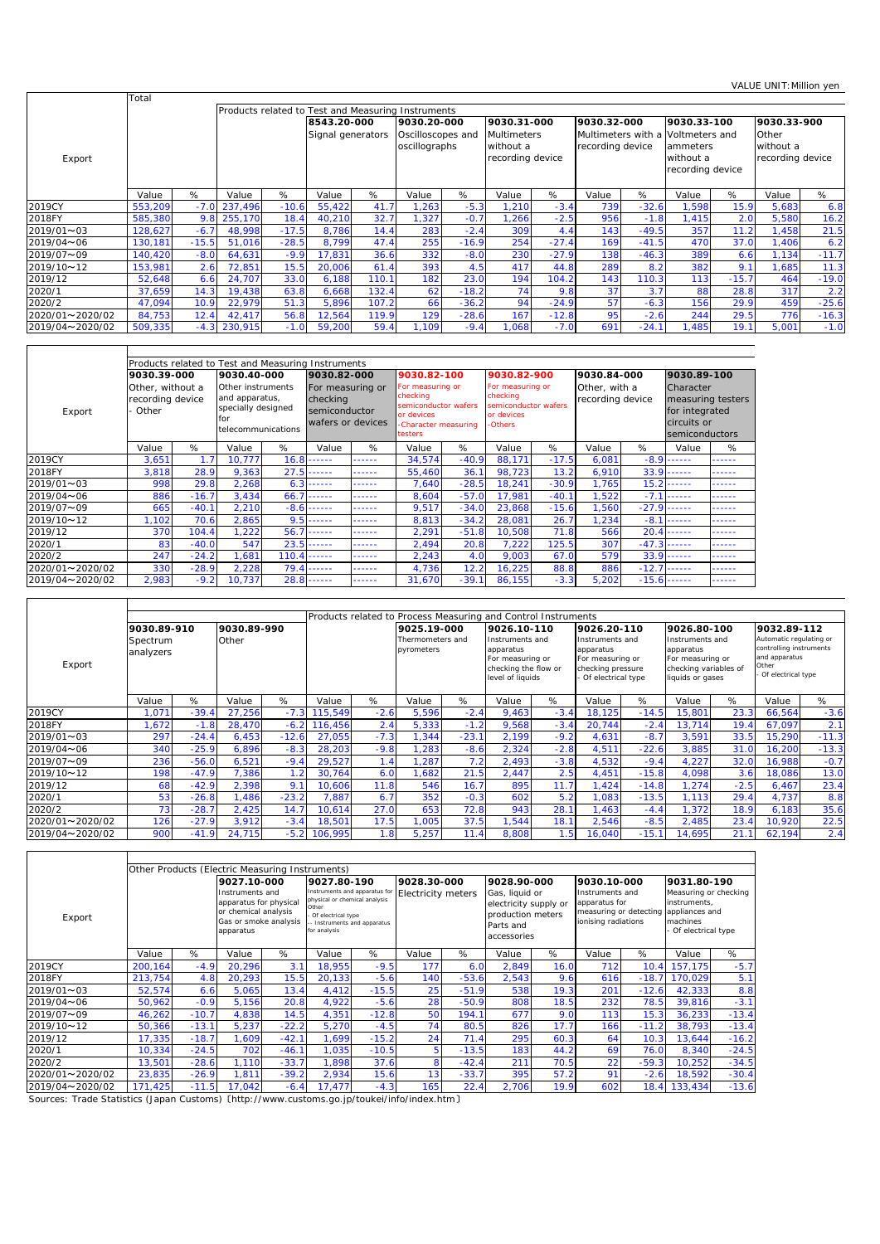|                   | Total   |         |         |         |                                                    |                                  |       |                                                   |       |                                   |                                                       |         |                                           |         | VALUL UNIII.IVIIIIIUII VUII       |         |
|-------------------|---------|---------|---------|---------|----------------------------------------------------|----------------------------------|-------|---------------------------------------------------|-------|-----------------------------------|-------------------------------------------------------|---------|-------------------------------------------|---------|-----------------------------------|---------|
|                   |         |         |         |         | Products related to Test and Measuring Instruments |                                  |       |                                                   |       |                                   |                                                       |         |                                           |         |                                   |         |
|                   |         |         |         |         |                                                    | 8543.20-000<br>Signal generators |       | 9030.20-000<br>Oscilloscopes and<br>oscillographs |       | 9030.31-000<br><b>Multimeters</b> | 9030.32-000<br>Multimeters with a<br>recording device |         | 9030.33-100<br>Voltmeters and<br>ammeters |         | 9030.33-900<br>Other<br>without a |         |
| Export            |         |         |         |         |                                                    |                                  |       |                                                   |       | without a<br>recording device     |                                                       |         | without a<br>recording device             |         | recording device                  |         |
|                   | Value   | %       | Value   | %       | Value                                              | %                                | Value | %                                                 | Value | %                                 | Value                                                 | %       | Value                                     | %       | Value                             | %       |
| 2019CY            | 553,209 | $-7.0$  | 237,496 | $-10.6$ | 55,422                                             | 41.7                             | , 263 | $-5.3$                                            | 1,210 | $-3.4$                            | 739                                                   | $-32.6$ | ,598                                      | 15.9    | 5,683                             | 6.8     |
| 2018FY            | 585,380 | 9.8     | 255,170 | 18.4    | 40,210                                             | 32.7                             | , 327 | $-0.7$                                            | .266  | $-2.5$                            | 956                                                   | $-1.8$  | ,415                                      | 2.0     | 5,580                             | 16.2    |
| $2019/01 \sim 03$ | 128,627 | $-6.7$  | 48,998  | $-17.5$ | 8.786                                              | 14.4                             | 283   | $-2.4$                                            | 309   | 4.4                               | 143                                                   | $-49.5$ | 357                                       | 11.2    | 1,458                             | 21.5    |
| 2019/04~06        | 130,181 | $-15.5$ | 51,016  | $-28.5$ | 8,799                                              | 47.4                             | 255   | $-16.9$                                           | 254   | $-27.4$                           | 169                                                   | $-41.5$ | 470                                       | 37.0    | 1,406                             | 6.2     |
| 2019/07~09        | 140,420 | $-8.0$  | 64,631  | $-9.9$  | 17,831                                             | 36.6                             | 332   | $-8.0$                                            | 230   | $-27.9$                           | 138                                                   | $-46.3$ | 389                                       | 6.6     | 1,134                             | $-11.7$ |
| 2019/10~12        | 153,981 | 2.6     | 72,851  | 15.5    | 20,006                                             | 61.4                             | 393   | 4.5                                               | 417   | 44.8                              | 289                                                   | 8.2     | 382                                       | 9.1     | 1,685                             | 11.3    |
| 2019/12           | 52,648  | 6.6     | 24,707  | 33.0    | 6,188                                              | 110.1                            | 182   | 23.0                                              | 194   | 104.2                             | 143                                                   | 110.3   | 113                                       | $-15.7$ | 464                               | $-19.0$ |
| 2020/1            | 37,659  | 14.3    | 19,438  | 63.8    | 6,668                                              | 132.4                            | 62    | $-18.2$                                           | 74    | 9.8                               | 37                                                    | 3.7     | 88                                        | 28.8    | 317                               | 2.2     |
| 2020/2            | 47,094  | 10.9    | 22,979  | 51.3    | 5,896                                              | 107.2                            | 66    | $-36.2$                                           | 94    | $-24.9$                           | 57                                                    | $-6.3$  | 156                                       | 29.9    | 459                               | $-25.6$ |
| 2020/01~2020/02   | 84,753  | 12.4    | 42,417  | 56.8    | 12,564                                             | 119.9                            | 129   | $-28.6$                                           | 167   | $-12.8$                           | 95                                                    | $-2.6$  | 244                                       | 29.5    | 776                               | $-16.3$ |
| 2019/04~2020/02   | 509,335 | $-4.3$  | 230,915 | $-1.0$  | 59,200                                             | 59.4                             | 1.109 | $-9.4$                                            | 1,068 | $-7.0$                            | 691                                                   | $-24.1$ | ,485                                      | 19.1    | 5,001                             | $-1.0$  |

|                                                           |             |         | Products related to Test and Measuring Instruments               |        |                                               |        |                                                                    |         |                                                                    |         |                                   |         |                               |                   |  |
|-----------------------------------------------------------|-------------|---------|------------------------------------------------------------------|--------|-----------------------------------------------|--------|--------------------------------------------------------------------|---------|--------------------------------------------------------------------|---------|-----------------------------------|---------|-------------------------------|-------------------|--|
|                                                           | 9030.39-000 |         | 9030.40-000                                                      |        | 9030.82-000                                   |        | 9030.82-100                                                        |         | 9030.82-900                                                        |         | 9030.84-000                       |         | 9030.89-100                   |                   |  |
| Other, without a<br>recording device<br>- Other<br>Export |             |         | Other instruments<br>and apparatus,<br>specially designed<br>for |        | For measuring or<br>checking<br>semiconductor |        | For measuring or<br>checking<br>semiconductor wafers<br>or devices |         | For measuring or<br>checking<br>semiconductor wafers<br>or devices |         | Other, with a<br>recording device |         | Character<br>for integrated   | measuring testers |  |
|                                                           |             |         | telecommunications                                               |        | wafers or devices                             |        | -Character measuring<br>testers                                    |         | -Others                                                            |         |                                   |         | circuits or<br>semiconductors |                   |  |
|                                                           | Value       | %       | Value                                                            | %      | Value                                         | %      | Value                                                              | %       | Value                                                              | %       | Value                             | %       | Value                         | %                 |  |
| 2019CY                                                    | 3,651       | 1.7     | 10.777                                                           |        | $16.8$ ------                                 | ------ | 34,574                                                             | $-40.9$ | 88,171                                                             | $-17.5$ | 6,081                             |         | $-8.9$ $-$                    | .                 |  |
| 2018FY                                                    | 3,818       | 28.9    | 9,363                                                            | 27.5   | .                                             | ------ | 55,460                                                             | 36.1    | 98.723                                                             | 13.2    | 6,910                             | 33.9    | ------                        | ------            |  |
| 2019/01~03                                                | 998         | 29.8    | 2,268                                                            | 6.3    | ------                                        | .      | 7,640                                                              | $-28.5$ | 18,241                                                             | $-30.9$ | 1,765                             | 15.2    | .                             | .                 |  |
| 2019/04~06                                                | 886         | $-16.7$ | 3,434                                                            | 66.7   | ------                                        | ------ | 8,604                                                              | $-57.0$ | 17.981                                                             | $-40.1$ | 1,522                             |         | $-7.1$ $-$                    | ------            |  |
| 2019/07~09                                                | 665         | $-40.1$ | 2,210                                                            | $-8.6$ | .                                             | ------ | 9,517                                                              | $-34.0$ | 23,868                                                             | $-15.6$ | ,560                              |         | $-27.9$ ------                | ------            |  |
| 2019/10~12                                                | 1.102       | 70.6    | 2,865                                                            | 9.5    | .                                             | ------ | 8,813                                                              | $-34.2$ | 28,081                                                             | 26.7    | .234                              | $-8.1$  | ------                        | ------            |  |
| 2019/12                                                   | 370         | 104.4   | 1,222                                                            | 56.7   | ------                                        | ------ | 2,291                                                              | $-51.8$ | 10,508                                                             | 71.8    | 566                               | 20.4    | ------                        | ------            |  |
| 2020/1                                                    | 83          | $-40.0$ | 547                                                              | 23.5   | .                                             | .      | 2,494                                                              | 20.8    | 7,222                                                              | 125.5   | 307                               |         | $-47.3$ ------                | ------            |  |
| 2020/2                                                    | 247         | $-24.2$ | .681                                                             | 110.4  | .                                             | ------ | 2,243                                                              | 4.0     | 9.003                                                              | 67.0    | 579                               |         | $33.9$ ------                 | ------            |  |
| 2020/01~2020/02                                           | 330         | $-28.9$ | 2,228                                                            | 79.4   | ------                                        | ------ | 4,736                                                              | 12.2    | 16,225                                                             | 88.8    | 886                               | $-12.7$ | ------                        | ------            |  |
| 2019/04~2020/02                                           | 2,983       | $-9.2$  | 10.737                                                           | 28.8   | .                                             | ------ | 31,670                                                             | $-39.1$ | 86,155                                                             | $-3.3$  | 5,202                             |         | $-15.6$ ------                | ------            |  |

|                          |                       |         |             |         |         |        |                                |         | Products related to Process Measuring and Control Instruments                                |        |                                                                                             |         |                                                                                               |        |                                                                                                    |         |
|--------------------------|-----------------------|---------|-------------|---------|---------|--------|--------------------------------|---------|----------------------------------------------------------------------------------------------|--------|---------------------------------------------------------------------------------------------|---------|-----------------------------------------------------------------------------------------------|--------|----------------------------------------------------------------------------------------------------|---------|
|                          | 9030.89-910           |         | 9030.89-990 |         |         |        | 9025.19-000                    |         | 9026.10-110                                                                                  |        | 9026.20-110                                                                                 |         | 9026.80-100                                                                                   |        | 9032.89-112                                                                                        |         |
| Export                   | Spectrum<br>analyzers |         | Other       |         |         |        | Thermometers and<br>pyrometers |         | Instruments and<br>apparatus<br>For measuring or<br>checking the flow or<br>level of liquids |        | Instruments and<br>apparatus<br>For measuring or<br>checking pressure<br>Of electrical type |         | Instruments and<br>apparatus<br>For measuring or<br>checking variables of<br>liquids or gases |        | Automatic regulating or<br>controlling instruments<br>and apparatus<br>Other<br>Of electrical type |         |
|                          | Value                 | %       | Value       | %       | Value   | %      | Value                          | %       | Value                                                                                        | %      | Value                                                                                       | %       | Value                                                                                         | %      | Value                                                                                              | %       |
| 2019CY                   | ,071                  | $-39.4$ | 27,256      | $-7.3$  | 115,549 | $-2.6$ | 5,596                          | $-2.4$  | 9,463                                                                                        | $-3.4$ | 18,125                                                                                      | $-14.5$ | 15,801                                                                                        | 23.3   | 66,564                                                                                             | $-3.6$  |
| 2018FY                   | .672                  | $-1.8$  | 28,470      | $-6.2$  | 116,456 | 2.4    | 5,333                          | $-1.2$  | 9,568                                                                                        | $-3.4$ | 20,744                                                                                      | $-2.4$  | 13.714                                                                                        | 19.4   | 67,097                                                                                             | 2.1     |
| 2019/01~03               | 297                   | $-24.4$ | 6,453       | $-12.6$ | 27,055  | $-7.3$ | , 344                          | $-23.1$ | 2,199                                                                                        | $-9.2$ | 4,631                                                                                       | $-8.7$  | 3,591                                                                                         | 33.5   | 15,290                                                                                             | $-11.3$ |
| $2019/04\n\nthicksim 06$ | 340                   | $-25.9$ | 6,896       | $-8.3$  | 28,203  | $-9.8$ | ,283                           | $-8.6$  | 2,324                                                                                        | $-2.8$ | 4,511                                                                                       | $-22.6$ | 3,885                                                                                         | 31.0   | 16,200                                                                                             | $-13.3$ |
| 2019/07~09               | 236                   | $-56.0$ | 6,521       | $-9.4$  | 29,527  |        | ,287                           | 7.2     | 2,493                                                                                        | $-3.8$ | 4,532                                                                                       | $-9.4$  | 4,227                                                                                         | 32.0   | 16,988                                                                                             | $-0.7$  |
| 2019/10~12               | 198                   | $-47.9$ | 7,386       | 1.2     | 30,764  | 6.0    | .682                           | 21.5    | 2,447                                                                                        | 2.5    | 4,451                                                                                       | $-15.8$ | 4,098                                                                                         | 3.6    | 18,086                                                                                             | 13.0    |
| 2019/12                  | 68                    | $-42.9$ | 2,398       | 9.1     | 10,606  | 11.8   | 546                            | 16.7    | 895                                                                                          | 11.7   | 1,424                                                                                       | $-14.8$ | ,274                                                                                          | $-2.5$ | 6,467                                                                                              | 23.4    |
| 2020/1                   | 53                    | $-26.8$ | 1,486       | $-23.2$ | 7,887   | 6.7    | 352                            | $-0.3$  | 602                                                                                          | 5.2    | 1,083                                                                                       | $-13.5$ | 1.113                                                                                         | 29.4   | 4,737                                                                                              | 8.8     |
| 2020/2                   | 73                    | $-28.7$ | 2,425       | 14.7    | 10,614  | 27.0   | 653                            | 72.8    | 943                                                                                          | 28.1   | 1,463                                                                                       | $-4.4$  | ,372                                                                                          | 18.9   | 6,183                                                                                              | 35.6    |
| 2020/01~2020/02          | 126                   | $-27.9$ | 3,912       | $-3.4$  | 18,501  | 17.5   | 1,005                          | 37.5    | 1,544                                                                                        | 18.1   | 2,546                                                                                       | $-8.5$  | 2,485                                                                                         | 23.4   | 10,920                                                                                             | 22.5    |
| 2019/04~2020/02          | 900                   | $-41.9$ | 24,715      | $-5.2$  | 106,995 | .8     | 5,257                          | 11.4    | 8,808                                                                                        | 1.5    | 16,040                                                                                      | $-15.1$ | 14,695                                                                                        | 21.1   | 62,194                                                                                             | 2.4     |

|                   |         |         | Other Products (Electric Measuring Instruments)                                                         |         |                                                                                                               |                             |                    |         |                                                                                          |      |                                                                                   |         |                                                                                           |         |
|-------------------|---------|---------|---------------------------------------------------------------------------------------------------------|---------|---------------------------------------------------------------------------------------------------------------|-----------------------------|--------------------|---------|------------------------------------------------------------------------------------------|------|-----------------------------------------------------------------------------------|---------|-------------------------------------------------------------------------------------------|---------|
|                   |         |         | 9027.10-000                                                                                             |         | 9027.80-190                                                                                                   |                             | 9028.30-000        |         | 9028.90-000                                                                              |      | 9030.10-000                                                                       |         | 9031.80-190                                                                               |         |
| Export            |         |         | Instruments and<br>apparatus for physical<br>or chemical analysis<br>Gas or smoke analysis<br>apparatus |         | Instruments and apparatus for<br>physical or chemical analysis<br>Other<br>Of electrical type<br>for analysis | - Instruments and apparatus | Electricity meters |         | Gas, liquid or<br>electricity supply or<br>production meters<br>Parts and<br>accessories |      | Instruments and<br>apparatus for<br>measuring or detecting<br>ionising radiations |         | Measuring or checking<br>instruments.<br>appliances and<br>machines<br>Of electrical type |         |
|                   | Value   | %       | Value                                                                                                   | %       | Value                                                                                                         | %                           | Value              | %       | Value                                                                                    | %    | Value                                                                             | %       | Value                                                                                     | %       |
| 2019CY            | 200,164 | $-4.9$  | 20,296                                                                                                  | 3.1     | 18.955                                                                                                        | $-9.5$                      | 177                | 6.0     | 2,849                                                                                    | 16.0 | 712                                                                               | 10.4    | 157,175                                                                                   | $-5.7$  |
| 2018FY            | 213,754 | 4.8     | 20,293                                                                                                  | 15.5    | 20,133                                                                                                        | $-5.6$                      | 140                | $-53.6$ | 2,543                                                                                    | 9.6  | 616                                                                               | $-18.7$ | 170.029                                                                                   | 5.1     |
| $2019/01 \sim 03$ | 52,574  | 6.6     | 5,065                                                                                                   | 13.4    | 4,412                                                                                                         | $-15.5$                     | 25                 | $-51.9$ | 538                                                                                      | 19.3 | 201                                                                               | $-12.6$ | 42,333                                                                                    | 8.8     |
| 2019/04~06        | 50,962  | $-0.9$  | 5,156                                                                                                   | 20.8    | 4,922                                                                                                         | $-5.6$                      | 28                 | $-50.9$ | 808                                                                                      | 18.5 | 232                                                                               | 78.5    | 39,816                                                                                    | $-3.1$  |
| 2019/07~09        | 46,262  | $-10.7$ | 4,838                                                                                                   | 14.5    | 4,351                                                                                                         | $-12.8$                     | 50                 | 194.1   | 677                                                                                      | 9.0  | 113                                                                               | 15.3    | 36,233                                                                                    | $-13.4$ |
| 2019/10~12        | 50,366  | $-13.1$ | 5,237                                                                                                   | $-22.2$ | 5,270                                                                                                         | $-4.5$                      | 74 <sub>1</sub>    | 80.5    | 826                                                                                      | 17.7 | 166                                                                               | $-11.2$ | 38.793                                                                                    | $-13.4$ |
| 2019/12           | 17,335  | $-18.7$ | ,609                                                                                                    | $-42.1$ | 1,699                                                                                                         | $-15.2$                     | 24                 | 71.4    | 295                                                                                      | 60.3 | 64                                                                                | 10.3    | 13,644                                                                                    | $-16.2$ |
| 2020/1            | 10,334  | $-24.5$ | 702                                                                                                     | $-46.1$ | 1,035                                                                                                         | $-10.5$                     | 5                  | $-13.5$ | 183                                                                                      | 44.2 | 69                                                                                | 76.0    | 8,340                                                                                     | $-24.5$ |
| 2020/2            | 13,501  | $-28.6$ | 1,110                                                                                                   | $-33.7$ | 1,898                                                                                                         | 37.6                        | 8                  | $-42.4$ | 211                                                                                      | 70.5 | 22                                                                                | $-59.3$ | 10,252                                                                                    | $-34.5$ |
| 2020/01~2020/02   | 23,835  | $-26.9$ | 1,811                                                                                                   | $-39.2$ | 2,934                                                                                                         | 15.6                        | 13 <sub>1</sub>    | $-33.7$ | 395                                                                                      | 57.2 | 91                                                                                | $-2.6$  | 18,592                                                                                    | $-30.4$ |
| 2019/04~2020/02   | 171,425 | $-11.5$ | 17,042                                                                                                  | $-6.4$  | 17,477                                                                                                        | $-4.3$                      | 165                | 22.4    | 2,706                                                                                    | 19.9 | 602                                                                               |         | 18.4 133,434                                                                              | $-13.6$ |

Sources: Trade Statistics (Japan Customs) 〔http://www.customs.go.jp/toukei/info/index.htm〕

 $\mathsf{r}$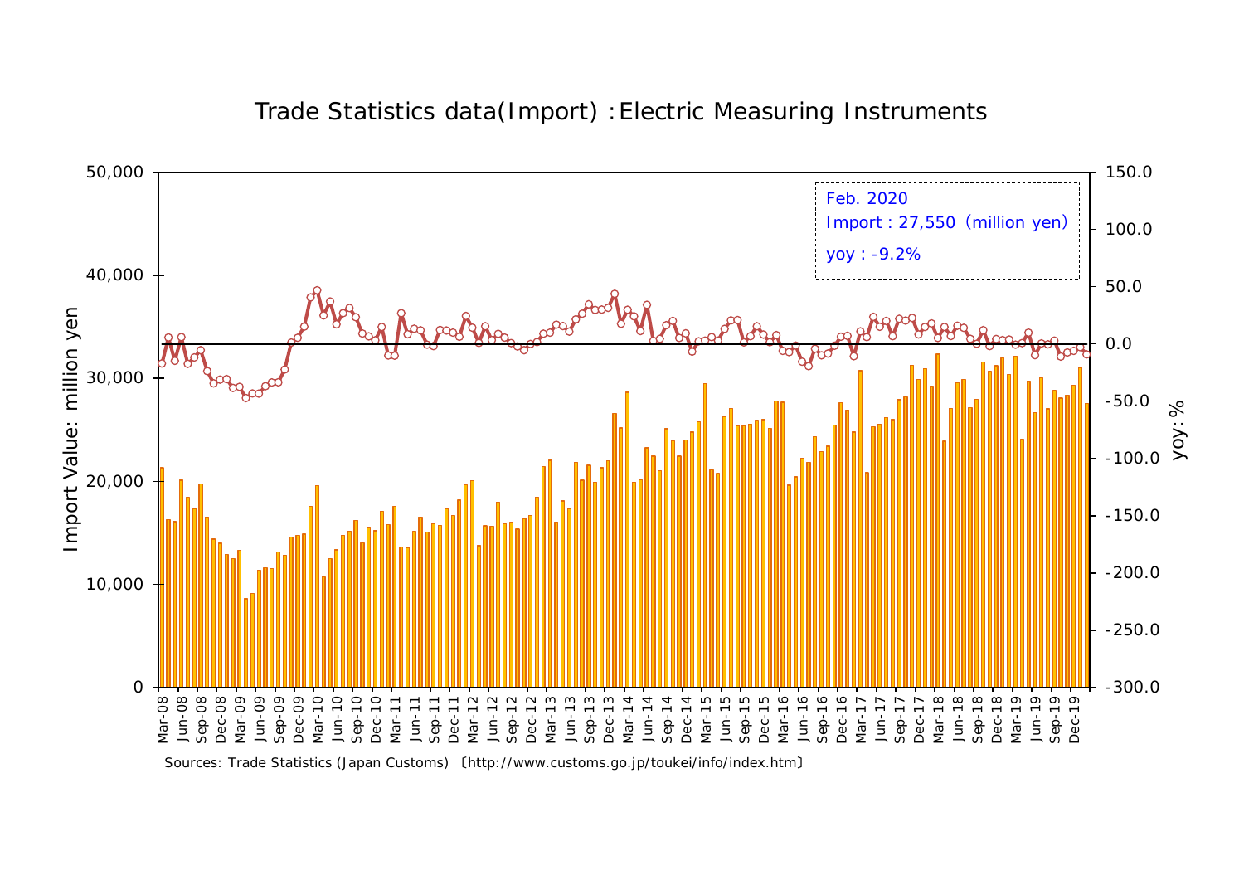

## Trade Statistics data(Import) :Electric Measuring Instruments

Sources: Trade Statistics (Japan Customs) 〔http://www.customs.go.jp/toukei/info/index.htm〕